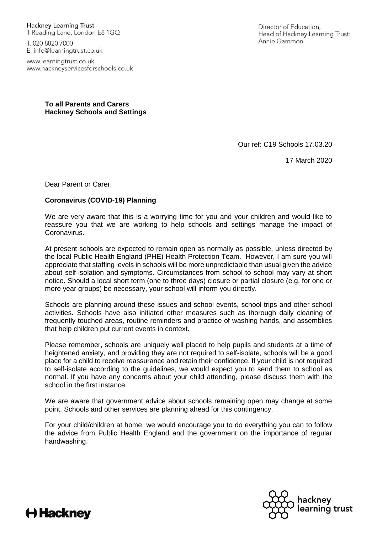**Hackney Learning Trust** 1 Reading Lane, London E8 1GQ

T. 020 8820 7000 E. info@learningtrust.co.uk

www.learningtrust.co.uk www.hackneyservicesforschools.co.uk Director of Education. Head of Hackney Learning Trust: Annie Gammon

**To all Parents and Carers Hackney Schools and Settings**

Our ref: C19 Schools 17.03.20

17 March 2020

Dear Parent or Carer,

## **Coronavirus (COVID-19) Planning**

We are very aware that this is a worrying time for you and your children and would like to reassure you that we are working to help schools and settings manage the impact of Coronavirus.

At present schools are expected to remain open as normally as possible, unless directed by the local Public Health England (PHE) Health Protection Team. However, I am sure you will appreciate that staffing levels in schools will be more unpredictable than usual given the advice about self-isolation and symptoms. Circumstances from school to school may vary at short notice. Should a local short term (one to three days) closure or partial closure (e.g. for one or more year groups) be necessary, your school will inform you directly.

Schools are planning around these issues and school events, school trips and other school activities. Schools have also initiated other measures such as thorough daily cleaning of frequently touched areas, routine reminders and practice of washing hands, and assemblies that help children put current events in context.

Please remember, schools are uniquely well placed to help pupils and students at a time of heightened anxiety, and providing they are not required to self-isolate, schools will be a good place for a child to receive reassurance and retain their confidence. If your child is not required to self-isolate according to the guidelines, we would expect you to send them to school as normal. If you have any concerns about your child attending, please discuss them with the school in the first instance.

We are aware that government advice about schools remaining open may change at some point. Schools and other services are planning ahead for this contingency.

For your child/children at home, we would encourage you to do everything you can to follow the advice from Public Health England and the government on the importance of regular handwashing.